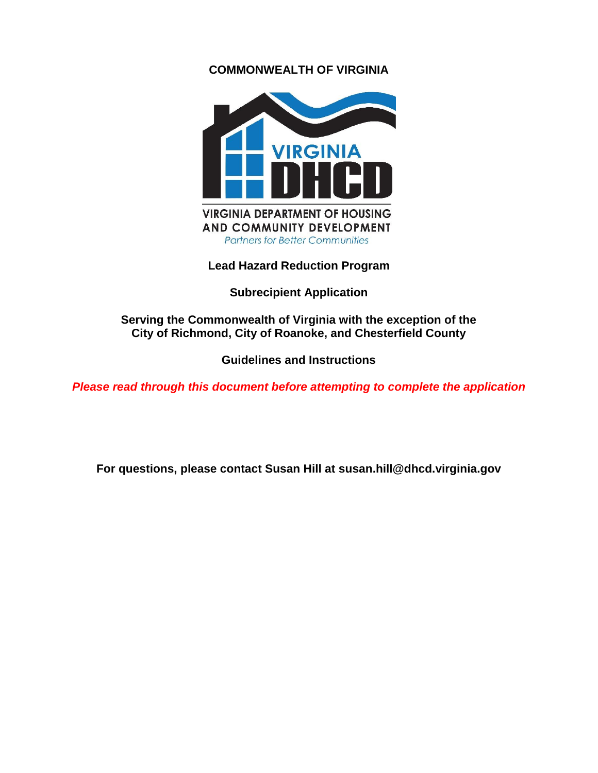### **COMMONWEALTH OF VIRGINIA**



**Lead Hazard Reduction Program**

**Subrecipient Application** 

**Serving the Commonwealth of Virginia with the exception of the City of Richmond, City of Roanoke, and Chesterfield County**

**Guidelines and Instructions**

*Please read through this document before attempting to complete the application*

**For questions, please contact Susan Hill at susan.hill@dhcd.virginia.gov**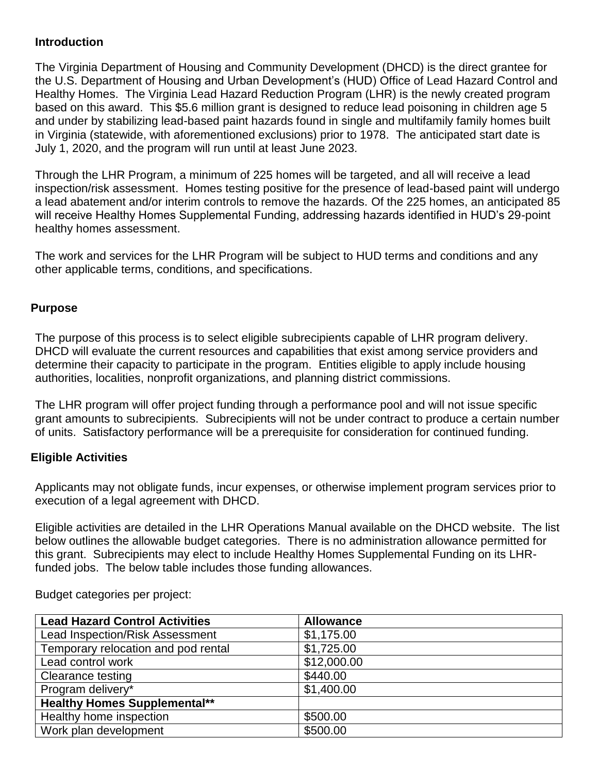# **Introduction**

The Virginia Department of Housing and Community Development (DHCD) is the direct grantee for the U.S. Department of Housing and Urban Development's (HUD) Office of Lead Hazard Control and Healthy Homes. The Virginia Lead Hazard Reduction Program (LHR) is the newly created program based on this award. This \$5.6 million grant is designed to reduce lead poisoning in children age 5 and under by stabilizing lead-based paint hazards found in single and multifamily family homes built in Virginia (statewide, with aforementioned exclusions) prior to 1978. The anticipated start date is July 1, 2020, and the program will run until at least June 2023.

Through the LHR Program, a minimum of 225 homes will be targeted, and all will receive a lead inspection/risk assessment. Homes testing positive for the presence of lead-based paint will undergo a lead abatement and/or interim controls to remove the hazards. Of the 225 homes, an anticipated 85 will receive Healthy Homes Supplemental Funding, addressing hazards identified in HUD's 29-point healthy homes assessment.

The work and services for the LHR Program will be subject to HUD terms and conditions and any other applicable terms, conditions, and specifications.

# **Purpose**

The purpose of this process is to select eligible subrecipients capable of LHR program delivery. DHCD will evaluate the current resources and capabilities that exist among service providers and determine their capacity to participate in the program. Entities eligible to apply include housing authorities, localities, nonprofit organizations, and planning district commissions.

The LHR program will offer project funding through a performance pool and will not issue specific grant amounts to subrecipients. Subrecipients will not be under contract to produce a certain number of units. Satisfactory performance will be a prerequisite for consideration for continued funding.

# **Eligible Activities**

Applicants may not obligate funds, incur expenses, or otherwise implement program services prior to execution of a legal agreement with DHCD.

Eligible activities are detailed in the LHR Operations Manual available on the DHCD website. The list below outlines the allowable budget categories. There is no administration allowance permitted for this grant. Subrecipients may elect to include Healthy Homes Supplemental Funding on its LHRfunded jobs. The below table includes those funding allowances.

| <b>Lead Hazard Control Activities</b>  | <b>Allowance</b> |
|----------------------------------------|------------------|
| <b>Lead Inspection/Risk Assessment</b> | \$1,175.00       |
| Temporary relocation and pod rental    | \$1,725.00       |
| Lead control work                      | \$12,000.00      |
| Clearance testing                      | \$440.00         |
| Program delivery*                      | \$1,400.00       |
| <b>Healthy Homes Supplemental**</b>    |                  |
| Healthy home inspection                | \$500.00         |
| Work plan development                  | \$500.00         |

Budget categories per project: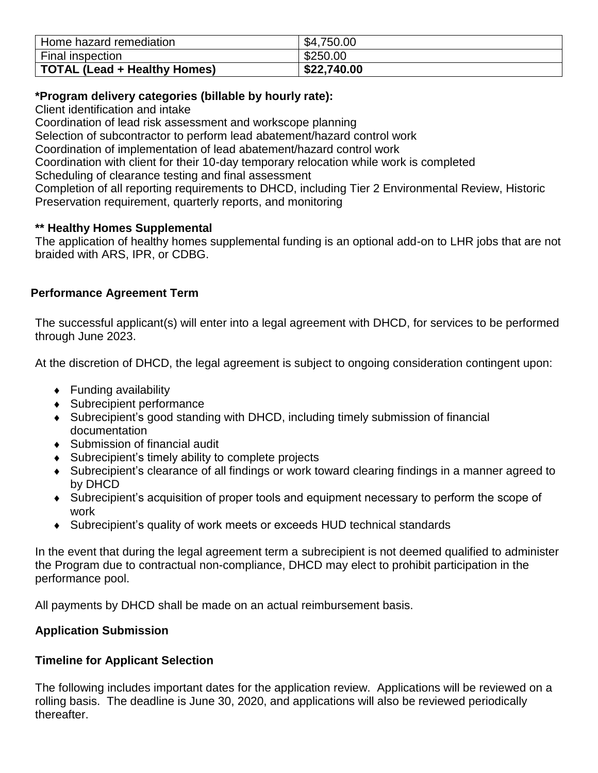| Home hazard remediation      | \$4,750.00  |
|------------------------------|-------------|
| Final inspection             | \$250.00    |
| TOTAL (Lead + Healthy Homes) | \$22,740.00 |

### **\*Program delivery categories (billable by hourly rate):**

Client identification and intake

Coordination of lead risk assessment and workscope planning

Selection of subcontractor to perform lead abatement/hazard control work

Coordination of implementation of lead abatement/hazard control work

Coordination with client for their 10-day temporary relocation while work is completed

Scheduling of clearance testing and final assessment

Completion of all reporting requirements to DHCD, including Tier 2 Environmental Review, Historic Preservation requirement, quarterly reports, and monitoring

### **\*\* Healthy Homes Supplemental**

The application of healthy homes supplemental funding is an optional add-on to LHR jobs that are not braided with ARS, IPR, or CDBG.

### **Performance Agreement Term**

The successful applicant(s) will enter into a legal agreement with DHCD, for services to be performed through June 2023.

At the discretion of DHCD, the legal agreement is subject to ongoing consideration contingent upon:

- ◆ Funding availability
- ◆ Subrecipient performance
- Subrecipient's good standing with DHCD, including timely submission of financial documentation
- Submission of financial audit
- ◆ Subrecipient's timely ability to complete projects
- Subrecipient's clearance of all findings or work toward clearing findings in a manner agreed to by DHCD
- Subrecipient's acquisition of proper tools and equipment necessary to perform the scope of work
- Subrecipient's quality of work meets or exceeds HUD technical standards

In the event that during the legal agreement term a subrecipient is not deemed qualified to administer the Program due to contractual non-compliance, DHCD may elect to prohibit participation in the performance pool.

All payments by DHCD shall be made on an actual reimbursement basis.

# **Application Submission**

# **Timeline for Applicant Selection**

The following includes important dates for the application review. Applications will be reviewed on a rolling basis. The deadline is June 30, 2020, and applications will also be reviewed periodically thereafter.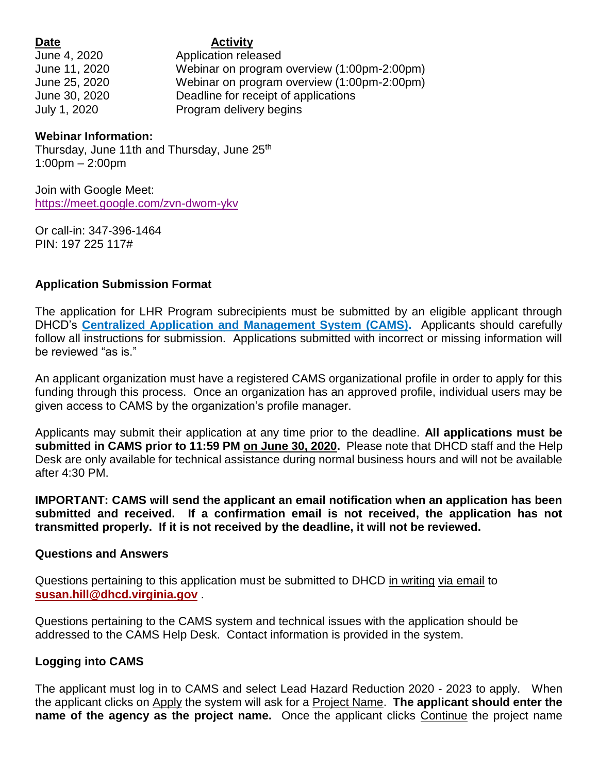#### **Date Activity**

June 4, 2020 Application released June 11, 2020 Webinar on program overview (1:00pm-2:00pm) June 25, 2020 Webinar on program overview (1:00pm-2:00pm) June 30, 2020 Deadline for receipt of applications July 1, 2020 Program delivery begins

### **Webinar Information:**

Thursday, June 11th and Thursday, June 25<sup>th</sup> 1:00pm – 2:00pm

Join with Google Meet: <https://meet.google.com/zvn-dwom-ykv>

Or call-in: 347-396-1464 PIN: 197 225 117#

# **Application Submission Format**

The application for LHR Program subrecipients must be submitted by an eligible applicant through DHCD's **[Centralized Application and Management System \(CAMS\).](https://dmz1.dhcd.virginia.gov/camsportal/Login.aspx)** Applicants should carefully follow all instructions for submission. Applications submitted with incorrect or missing information will be reviewed "as is."

An applicant organization must have a registered CAMS organizational profile in order to apply for this funding through this process. Once an organization has an approved profile, individual users may be given access to CAMS by the organization's profile manager.

Applicants may submit their application at any time prior to the deadline. **All applications must be submitted in CAMS prior to 11:59 PM on June 30, 2020.** Please note that DHCD staff and the Help Desk are only available for technical assistance during normal business hours and will not be available after 4:30 PM.

**IMPORTANT: CAMS will send the applicant an email notification when an application has been submitted and received. If a confirmation email is not received, the application has not transmitted properly. If it is not received by the deadline, it will not be reviewed.**

#### **Questions and Answers**

Questions pertaining to this application must be submitted to DHCD in writing via email to **[susan.hill@dhcd.virginia.gov](mailto:susan.hill@dhcd.virginia.gov)** .

Questions pertaining to the CAMS system and technical issues with the application should be addressed to the CAMS Help Desk. Contact information is provided in the system.

#### **Logging into CAMS**

The applicant must log in to CAMS and select Lead Hazard Reduction 2020 - 2023 to apply. When the applicant clicks on Apply the system will ask for a Project Name. **The applicant should enter the name of the agency as the project name.** Once the applicant clicks Continue the project name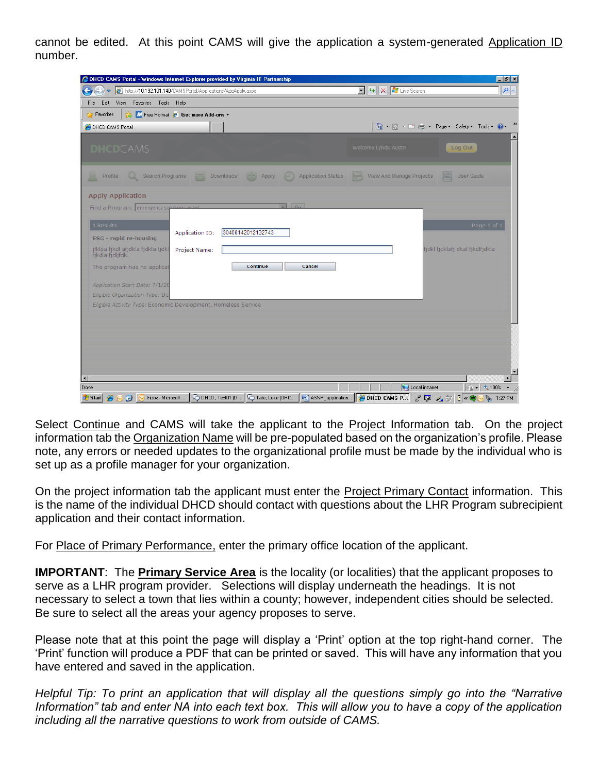cannot be edited. At this point CAMS will give the application a system-generated Application ID number.

|                                                                                                                                                                                                                                                                          | http://10.192.101.140/CAMSPortal/Applications/AppApply.aspx   |                               |                                                                           | $\boxed{\bullet}$ $\boxed{\leftrightarrow}$ $\boxed{\times}$ $\boxed{\overset{\bullet}{\mathcal{M}}}$ Live Search | $\rho$ .                                       |
|--------------------------------------------------------------------------------------------------------------------------------------------------------------------------------------------------------------------------------------------------------------------------|---------------------------------------------------------------|-------------------------------|---------------------------------------------------------------------------|-------------------------------------------------------------------------------------------------------------------|------------------------------------------------|
| Edit View Favorites Tools Help<br>File                                                                                                                                                                                                                                   |                                                               |                               |                                                                           |                                                                                                                   |                                                |
| <b>Favorites</b>                                                                                                                                                                                                                                                         | $\frac{1}{2}$ M Free Hotmail <b>C</b> Get more Add-ons $\sim$ |                               |                                                                           |                                                                                                                   |                                                |
| <b>O</b> DHCD CAMS Portal                                                                                                                                                                                                                                                |                                                               |                               |                                                                           |                                                                                                                   | 个 同 - □ 由 - Page - Safety - Tools - ②-         |
| <b>DHCD</b> CAMS                                                                                                                                                                                                                                                         |                                                               |                               |                                                                           | Welcome Lyndsi Austin                                                                                             | Log Out                                        |
| Profile                                                                                                                                                                                                                                                                  |                                                               |                               | Search Programs <b>by Downloads CD</b> Apply <b>CD</b> Application Status | H.<br>View And Manage Projects                                                                                    | E<br><b>User Guide</b>                         |
| <b>Apply Application</b>                                                                                                                                                                                                                                                 |                                                               |                               |                                                                           |                                                                                                                   |                                                |
| Find a Program: emergency squitions grant                                                                                                                                                                                                                                |                                                               |                               | $\sqrt{a}$                                                                |                                                                                                                   |                                                |
| 1 Results<br><b>ESG</b> - rapid re-housing<br>jfklda fjkdl afjdkla fjdkla fjdkl<br>fjkdla fjdljfdk.<br>The program has no applicat<br>Application Start Date: 7/1/20<br>Eligible Organization Type: De<br>Eligible Activity Type: Economic Development, Homeless Service | Application ID:<br>Project Name:                              | 30408142012132743<br>Continue | Cancel                                                                    |                                                                                                                   | Page 1 of 1<br>fjdkl fjdklafj dkal fjkdlfjdkla |
|                                                                                                                                                                                                                                                                          |                                                               |                               |                                                                           |                                                                                                                   |                                                |
|                                                                                                                                                                                                                                                                          |                                                               |                               |                                                                           |                                                                                                                   |                                                |

Select Continue and CAMS will take the applicant to the Project Information tab. On the project information tab the Organization Name will be pre-populated based on the organization's profile. Please note, any errors or needed updates to the organizational profile must be made by the individual who is set up as a profile manager for your organization.

On the project information tab the applicant must enter the Project Primary Contact information. This is the name of the individual DHCD should contact with questions about the LHR Program subrecipient application and their contact information.

For Place of Primary Performance, enter the primary office location of the applicant.

**IMPORTANT:** The **Primary Service Area** is the locality (or localities) that the applicant proposes to serve as a LHR program provider. Selections will display underneath the headings. It is not necessary to select a town that lies within a county; however, independent cities should be selected. Be sure to select all the areas your agency proposes to serve.

Please note that at this point the page will display a 'Print' option at the top right-hand corner. The 'Print' function will produce a PDF that can be printed or saved. This will have any information that you have entered and saved in the application.

*Helpful Tip: To print an application that will display all the questions simply go into the "Narrative Information" tab and enter NA into each text box. This will allow you to have a copy of the application including all the narrative questions to work from outside of CAMS.*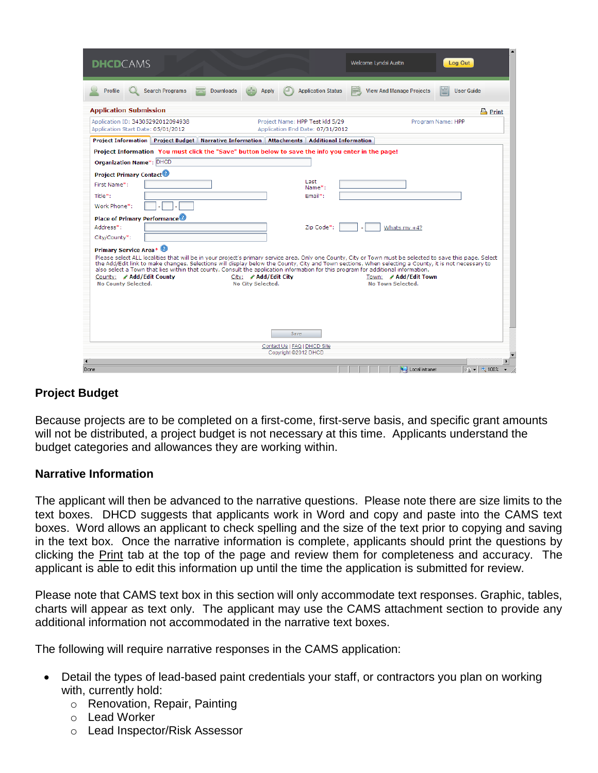| <b>DHCD</b> CAMS                                                                                                                                                                                                                                                                                                                                                                                                                                                                                                                                        |                                                                     | Welcome Lyndsi Austin     | Log Out                                              |
|---------------------------------------------------------------------------------------------------------------------------------------------------------------------------------------------------------------------------------------------------------------------------------------------------------------------------------------------------------------------------------------------------------------------------------------------------------------------------------------------------------------------------------------------------------|---------------------------------------------------------------------|---------------------------|------------------------------------------------------|
| <b>Search Programs</b><br>Profile                                                                                                                                                                                                                                                                                                                                                                                                                                                                                                                       | <b>Downloads</b><br><b>Apply</b>                                    | <b>Application Status</b> | <b>View And Manage Projects</b><br><b>User Guide</b> |
| <b>Application Submission</b>                                                                                                                                                                                                                                                                                                                                                                                                                                                                                                                           |                                                                     |                           | <u>은</u> Print                                       |
| Application ID: 34305292012094938<br>Application Start Date: 05/01/2012                                                                                                                                                                                                                                                                                                                                                                                                                                                                                 | Project Name: HPP Test kld 5/29<br>Application End Date: 07/31/2012 |                           | Program Name: HPP                                    |
| <b>Project Information   Project Budget   Narrative Information   Attachments   Additional Information</b>                                                                                                                                                                                                                                                                                                                                                                                                                                              |                                                                     |                           |                                                      |
| Project Information You must click the "Save" button below to save the info you enter in the page!<br><b>Organization Name*: DHCD</b>                                                                                                                                                                                                                                                                                                                                                                                                                   |                                                                     |                           |                                                      |
| <b>Project Primary Contact</b>                                                                                                                                                                                                                                                                                                                                                                                                                                                                                                                          | Last                                                                |                           |                                                      |
| First Name*:                                                                                                                                                                                                                                                                                                                                                                                                                                                                                                                                            |                                                                     | Name <sup>*</sup> :       |                                                      |
| Title*:<br>Work Phone*:                                                                                                                                                                                                                                                                                                                                                                                                                                                                                                                                 |                                                                     | $Email*$ :                |                                                      |
| Place of Primary Performance <sup>®</sup><br>Address <sup>*</sup> :<br>City/County*:                                                                                                                                                                                                                                                                                                                                                                                                                                                                    |                                                                     | Zip Code*:                | Whats $my +4?$                                       |
| <b>Primary Service Area*</b><br>Please select ALL localities that will be in your project's primary service area. Only one County, City or Town must be selected to save this page. Select<br>the Add/Edit link to make changes. Selections will display below the County, City and Town sections. When selecting a County, it is not necessary to<br>also select a Town that lies within that county. Consult the application information for this program for additional information.<br>County: <b>Add/Edit County</b><br><b>No County Selected.</b> | City: <b>Add/Edit City</b><br>No City Selected.                     | No Town Selected.         | Town: Add/Edit Town                                  |
|                                                                                                                                                                                                                                                                                                                                                                                                                                                                                                                                                         |                                                                     |                           |                                                      |
|                                                                                                                                                                                                                                                                                                                                                                                                                                                                                                                                                         | <b>Save</b>                                                         |                           |                                                      |
|                                                                                                                                                                                                                                                                                                                                                                                                                                                                                                                                                         | Contact Us   FAQ   DHCD Site<br>Copyright @2012 DHCD                |                           |                                                      |
| Done                                                                                                                                                                                                                                                                                                                                                                                                                                                                                                                                                    |                                                                     |                           | $\frac{1}{2}$ - $\frac{1}{2}$ 100%<br>Local intranet |

# **Project Budget**

Because projects are to be completed on a first-come, first-serve basis, and specific grant amounts will not be distributed, a project budget is not necessary at this time. Applicants understand the budget categories and allowances they are working within.

#### **Narrative Information**

The applicant will then be advanced to the narrative questions. Please note there are size limits to the text boxes. DHCD suggests that applicants work in Word and copy and paste into the CAMS text boxes. Word allows an applicant to check spelling and the size of the text prior to copying and saving in the text box. Once the narrative information is complete, applicants should print the questions by clicking the Print tab at the top of the page and review them for completeness and accuracy. The applicant is able to edit this information up until the time the application is submitted for review.

Please note that CAMS text box in this section will only accommodate text responses. Graphic, tables, charts will appear as text only. The applicant may use the CAMS attachment section to provide any additional information not accommodated in the narrative text boxes.

The following will require narrative responses in the CAMS application:

- Detail the types of lead-based paint credentials your staff, or contractors you plan on working with, currently hold:
	- o Renovation, Repair, Painting
	- o Lead Worker
	- o Lead Inspector/Risk Assessor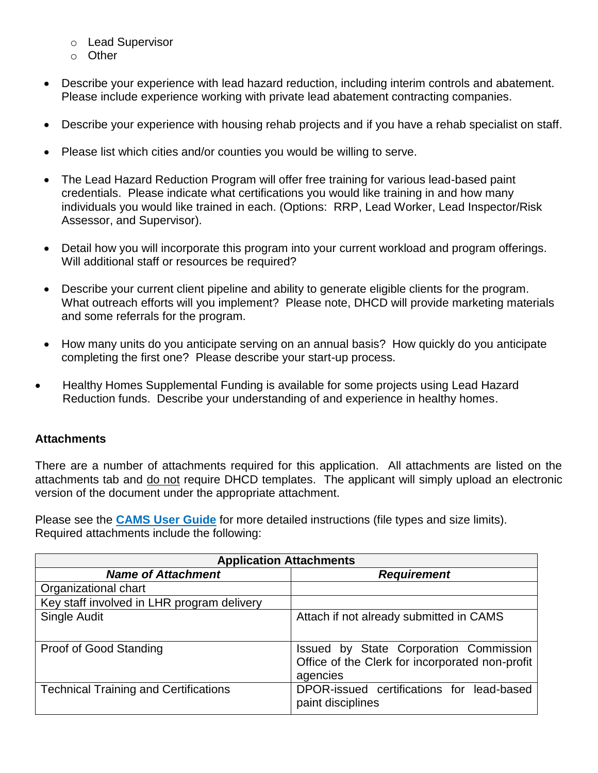- o Lead Supervisor
- o Other
- Describe your experience with lead hazard reduction, including interim controls and abatement. Please include experience working with private lead abatement contracting companies.
- Describe your experience with housing rehab projects and if you have a rehab specialist on staff.
- Please list which cities and/or counties you would be willing to serve.
- The Lead Hazard Reduction Program will offer free training for various lead-based paint credentials. Please indicate what certifications you would like training in and how many individuals you would like trained in each. (Options: RRP, Lead Worker, Lead Inspector/Risk Assessor, and Supervisor).
- Detail how you will incorporate this program into your current workload and program offerings. Will additional staff or resources be required?
- Describe your current client pipeline and ability to generate eligible clients for the program. What outreach efforts will you implement? Please note, DHCD will provide marketing materials and some referrals for the program.
- How many units do you anticipate serving on an annual basis? How quickly do you anticipate completing the first one? Please describe your start-up process.
- Healthy Homes Supplemental Funding is available for some projects using Lead Hazard Reduction funds. Describe your understanding of and experience in healthy homes.

#### **Attachments**

There are a number of attachments required for this application. All attachments are listed on the attachments tab and do not require DHCD templates. The applicant will simply upload an electronic version of the document under the appropriate attachment.

Please see the **[CAMS User Guide](https://dmz1.dhcd.virginia.gov/camsportal/StaticFiles/UserGuides/UserGuideTableofContents.pdf)** for more detailed instructions (file types and size limits). Required attachments include the following:

| <b>Application Attachments</b>               |                                                                                                       |  |
|----------------------------------------------|-------------------------------------------------------------------------------------------------------|--|
| <b>Name of Attachment</b>                    | <b>Requirement</b>                                                                                    |  |
| Organizational chart                         |                                                                                                       |  |
| Key staff involved in LHR program delivery   |                                                                                                       |  |
| Single Audit                                 | Attach if not already submitted in CAMS                                                               |  |
| Proof of Good Standing                       | Issued by State Corporation Commission<br>Office of the Clerk for incorporated non-profit<br>agencies |  |
| <b>Technical Training and Certifications</b> | DPOR-issued certifications for lead-based<br>paint disciplines                                        |  |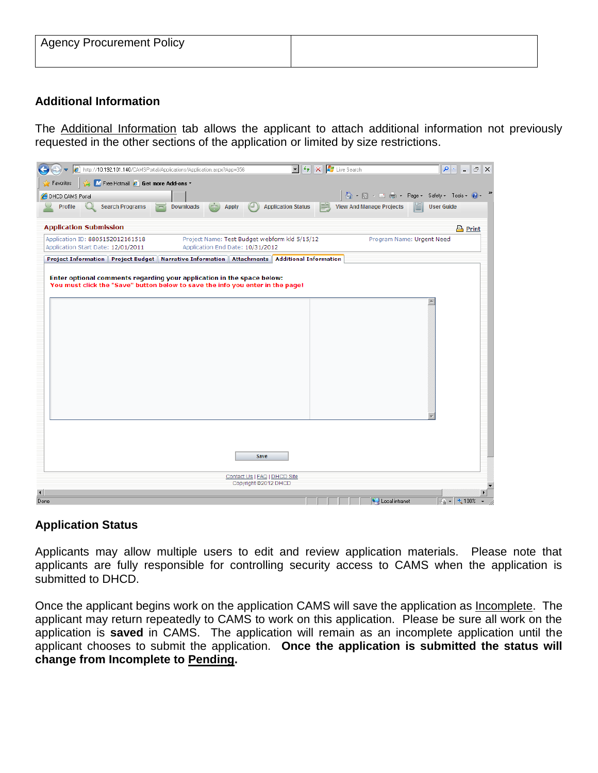| Agency Procurement Policy |  |
|---------------------------|--|
|                           |  |

# **Additional Information**

The Additional Information tab allows the applicant to attach additional information not previously requested in the other sections of the application or limited by size restrictions.

| http://10.192.101.140/CAMSPortal/Applications/Application.aspx?App=356<br>$\mathbf{r}$<br>e                                                                 | $ \ast_{\pm} $<br>Live Search<br>$\boldsymbol{\times}$                                                                                                                                                                                                                                                                                              | ٩<br>$\vec{\square}$<br>∣▼<br>$\times$<br>$\blacksquare$ |
|-------------------------------------------------------------------------------------------------------------------------------------------------------------|-----------------------------------------------------------------------------------------------------------------------------------------------------------------------------------------------------------------------------------------------------------------------------------------------------------------------------------------------------|----------------------------------------------------------|
| M Free Hotmail <b>C</b> Get more Add-ons v<br>Favorites<br>۲B.                                                                                              |                                                                                                                                                                                                                                                                                                                                                     |                                                          |
| <b>O</b> DHCD CAMS Portal                                                                                                                                   | $\begin{picture}(150,10) \put(0,0){\line(1,0){10}} \put(15,0){\line(1,0){10}} \put(15,0){\line(1,0){10}} \put(15,0){\line(1,0){10}} \put(15,0){\line(1,0){10}} \put(15,0){\line(1,0){10}} \put(15,0){\line(1,0){10}} \put(15,0){\line(1,0){10}} \put(15,0){\line(1,0){10}} \put(15,0){\line(1,0){10}} \put(15,0){\line(1,0){10}} \put(15,0){\line($ |                                                          |
| -5<br>Profile<br><b>Search Programs</b><br><b>Application Status</b><br><b>Downloads</b><br><b>Apply</b>                                                    | E<br>Þ<br><b>View And Manage Projects</b>                                                                                                                                                                                                                                                                                                           | <b>User Guide</b>                                        |
| <b>Application Submission</b>                                                                                                                               |                                                                                                                                                                                                                                                                                                                                                     | $\mathbf{B}$ Print                                       |
| Application ID: 8805152012161518<br>Project Name: Test Budget webform kld 5/15/12<br>Application End Date: 10/31/2012<br>Application Start Date: 12/01/2011 | Program Name: Urgent Need                                                                                                                                                                                                                                                                                                                           |                                                          |
| Project Information   Project Budget   Narrative Information   Attachments   Additional Information                                                         |                                                                                                                                                                                                                                                                                                                                                     |                                                          |
| You must click the "Save" button below to save the info you enter in the page!                                                                              |                                                                                                                                                                                                                                                                                                                                                     |                                                          |
|                                                                                                                                                             |                                                                                                                                                                                                                                                                                                                                                     |                                                          |
| Save<br>Contact Us   FAQ   DHCD Site<br>Copyright @2012 DHCD                                                                                                |                                                                                                                                                                                                                                                                                                                                                     |                                                          |
| $\left  \cdot \right $<br>Done                                                                                                                              | Local intranet                                                                                                                                                                                                                                                                                                                                      | $\frac{1}{2}$ + $\frac{4}{3}$ 100%                       |

#### **Application Status**

Applicants may allow multiple users to edit and review application materials. Please note that applicants are fully responsible for controlling security access to CAMS when the application is submitted to DHCD.

Once the applicant begins work on the application CAMS will save the application as Incomplete. The applicant may return repeatedly to CAMS to work on this application. Please be sure all work on the application is **saved** in CAMS. The application will remain as an incomplete application until the applicant chooses to submit the application. **Once the application is submitted the status will change from Incomplete to Pending.**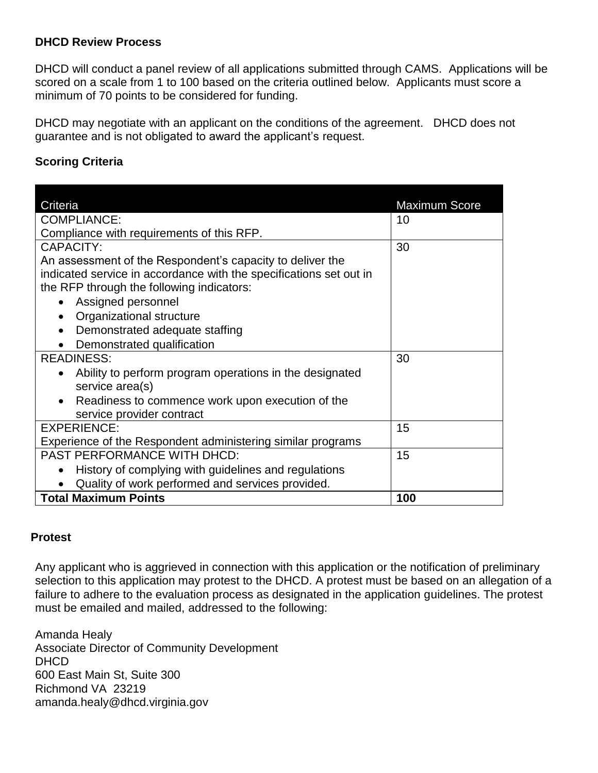# **DHCD Review Process**

DHCD will conduct a panel review of all applications submitted through CAMS. Applications will be scored on a scale from 1 to 100 based on the criteria outlined below. Applicants must score a minimum of 70 points to be considered for funding.

DHCD may negotiate with an applicant on the conditions of the agreement. DHCD does not guarantee and is not obligated to award the applicant's request.

# **Scoring Criteria**

| Criteria                                                             | <b>Maximum Score</b> |
|----------------------------------------------------------------------|----------------------|
| <b>COMPLIANCE:</b>                                                   | 10                   |
| Compliance with requirements of this RFP.                            |                      |
| <b>CAPACITY:</b>                                                     | 30                   |
| An assessment of the Respondent's capacity to deliver the            |                      |
| indicated service in accordance with the specifications set out in   |                      |
| the RFP through the following indicators:                            |                      |
| Assigned personnel<br>$\bullet$                                      |                      |
| Organizational structure<br>$\bullet$                                |                      |
| Demonstrated adequate staffing                                       |                      |
| Demonstrated qualification                                           |                      |
| <b>READINESS:</b>                                                    | 30                   |
| Ability to perform program operations in the designated<br>$\bullet$ |                      |
| service area(s)                                                      |                      |
| Readiness to commence work upon execution of the                     |                      |
| service provider contract<br>EXPERIENCE:                             | 15                   |
| Experience of the Respondent administering similar programs          |                      |
| <b>PAST PERFORMANCE WITH DHCD:</b>                                   | 15                   |
|                                                                      |                      |
| History of complying with guidelines and regulations<br>$\bullet$    |                      |
| Quality of work performed and services provided.<br>$\bullet$        |                      |
| <b>Total Maximum Points</b>                                          | 100                  |

#### **Protest**

Any applicant who is aggrieved in connection with this application or the notification of preliminary selection to this application may protest to the DHCD. A protest must be based on an allegation of a failure to adhere to the evaluation process as designated in the application guidelines. The protest must be emailed and mailed, addressed to the following:

Amanda Healy Associate Director of Community Development DHCD 600 East Main St, Suite 300 Richmond VA 23219 amanda.healy@dhcd.virginia.gov